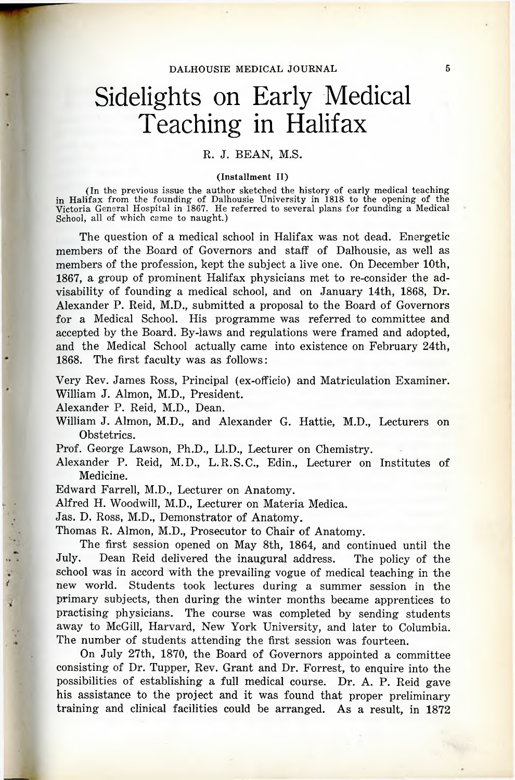## Sidelights on Early Medical Teaching in Halifax

## R. J. BEAN, M.S.

## (Installment II)

(In the previous issue the author sketched the history of early medical teaching in Halifax from the founding of Dalhousie University in 1818 to the opening of the Victoria General Hospital in 1867. He referred to several plans for founding a Medical School, all of which came to naught.)

The question of a medical school in Halifax was not dead. Energetic members of the Board of Governors and staff of Dalhousie, as well as members of the profession, kept the subject a live one. On December 10th, 1867, a group of prominent Halifax physicians met to re-consider the advisability of founding a medical school, and on January 14th, 1868, Dr. Alexander P. Reid, M.D., submitted a proposal to the Board of Governors for a Medical School. His programme was referred to committee and accepted by the Board. By-laws and regulations were framed and adopted, and the Medical School actually came into existence on February 24th, 1868. The first faculty was as follows:

Very Rev. James Ross, Principal (ex-officio) and Matriculation Examiner. William J. Almon, M.D., President.

Alexander P. Reid, M.D., Dean.

William J. Almon, M.D., and Alexander G. Hattie, M.D., Lecturers on Obstetrics.

Prof. George Lawson, Ph.D., Ll.D., Lecturer on Chemistry.

Alexander P. Reid, M.D., L. R.S.C., Edin., Lecturer on Institutes of Medicine.

Edward Farrell, M.D., Lecturer on Anatomy.

Alfred H. Woodwill, M.D., Lecturer on Materia Medica.

Jas. D. Ross, M.D., Demonstrator of Anatomy.

Thomas R. Almon, M.D., Prosecutor to Chair of Anatomy.

The first session opened on May 8th, 1864, and continued until the July. Dean Reid delivered the inaugural address. The policy of the school was in accord with the prevailing vogue of medical teaching in the new world. Students took lectures during a summer session in the primary subjects, then during the winter months became apprentices to practising physicians. The course was completed by sending students away to McGill, Harvard, New York University, and later to Columbia. The number of students attending the first session was fourteen.

On July 27th, 1870, the Board of Governors appointed a committee consisting of Dr. Tupper, Rev. Grant and Dr. Forrest, to enquire into the possibilities of establishing a full medical course. Dr. A. P. Reid gave his assistance to the project and it was found that proper preliminary training and clinical facilities could be arranged. As a result, in 1872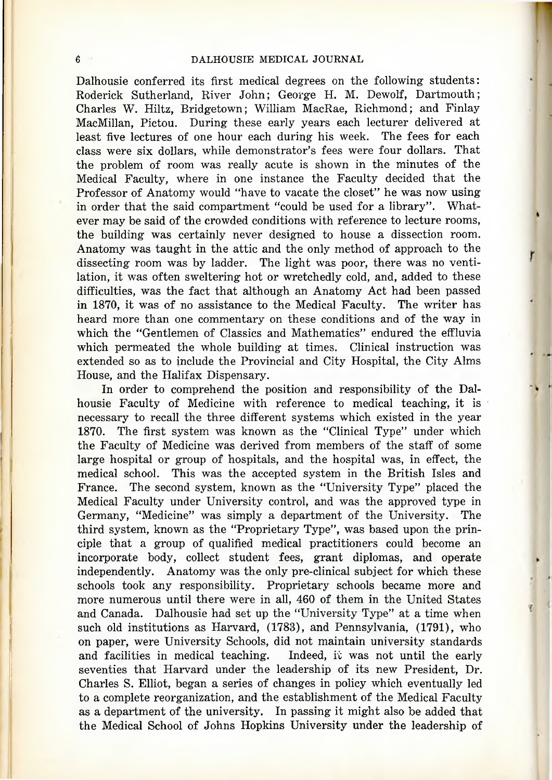Dalhousie conferred its first medical degrees on the following students: Roderick Sutherland, River John; George H. M. Dewolf, Dartmouth; Charles W. Hiltz, Bridgetown; William MacRae, Richmond; and Finlay MacMillan, Pictou. During these early years each lecturer delivered at least five lectures of one hour each during his week. The fees for each class were six dollars, while demonstrator's fees were four dollars. That the problem of room was really acute is shown in the minutes of the Medical Faculty, where in one instance the Faculty decided that the Professor of Anatomy would "have to vacate the closet" he was now using in order that the said compartment "could be used for a library". Whatever may be said of the crowded conditions with reference to lecture rooms, the building was certainly never designed to house a dissection room. Anatomy was taught in the attic and the only method of approach to the dissecting room was by ladder. The light was poor, there was no ventilation, it was often sweltering hot or wretchedly cold, and, added to these difficulties, was the fact that although an Anatomy Act had been passed in 1870, it was of no assistance to the Medical Faculty. The writer has heard more than one commentary on these conditions and of the way in which the "Gentlemen of Classics and Mathematics" endured the effluvia which permeated the whole building at times. Clinical instruction was extended so as to include the Provincial and City Hospital, the City Alms House, and the Halifax Dispensary.

In order to comprehend the position and responsibility of the Dalhousie Faculty of Medicine with reference to medical teaching, it is necessary to recall the three different systems which existed in the year 1870. The first system was known as the "Clinical Type" under which the Faculty of Medicine was derived from members of the staff of some large hospital or group of hospitals, and the hospital was, in effect, the medical school. This was the accepted system in the British Isles and France. The second system, known as the "University Type" placed the Medical Faculty under University control, and was the approved type in Germany, "Medicine" was simply a department of the University. The third system, known as the "Proprietary Type", was based upon the principle that a group of qualified medical practitioners could become an incorporate body, collect student fees, grant diplomas, and operate independently. Anatomy was the only pre-clinical subject for which these schools took any responsibility. Proprietary schools became more and more numerous until there were in all, 460 of them in the United States and Canada. Dalhousie had set up the "University Type" at a time when such old institutions as Harvard, (1788), and Pennsylvania, (1791), who on paper, were University Schools, did not maintain university standards and facilities in medical teaching. Indeed, it was not until the early seventies that Harvard under the leadership of its new President, Dr. Charles S. Elliot, began a series of changes in policy which eventually led to a complete reorganization, and the establishment of the Medical Faculty as a department of the university. In passing it might also be added that the Medical School of Johns Hopkins University under the leadership of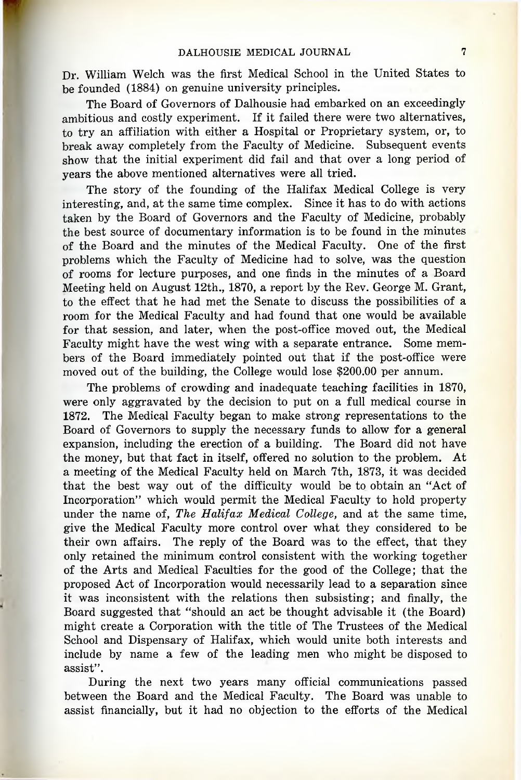Dr. William Welch was the first Medical School in the United States to be founded (1884) on genuine university principles.

The Board of Governors of Dalhousie had embarked on an exceedingly ambitious and costly experiment. If it failed there were two alternatives, to try an affiliation with either a Hospital or Proprietary system, or, to break away completely from the Faculty of Medicine. Subsequent events show that the initial experiment did fail and that over a long period of years the above mentioned alternatives were all tried.

The story of the founding of the Halifax Medical College is very interesting, and, at the same time complex. Since it has to do with actions taken by the Board of Governors and the Faculty of Medicine, probably the best source of documentary information is to be found in the minutes of the Board and the minutes of the Medical Faculty. One of the first problems which the Faculty of Medicine had to solve, was the question of rooms for lecture purposes, and one finds in the minutes of a Board Meeting held on August 12th., 1870, a report by the Rev. George M. Grant, to the effect that he had met the Senate to discuss the possibilities of a room for the Medical Faculty and had found that one would be available for that session, and later, when the post-office moved out, the Medical Faculty might have the west wing with a separate entrance. Some members of the Board immediately pointed out that if the post-office were moved out of the building, the College would lose \$200.00 per annum.

The problems of crowding and inadequate teaching facilities in 1870, were only aggravated by the decision to put on a full medical course in 1872. The Medical Faculty began to make strong representations to the Board of Governors to supply the necessary funds to allow for a general expansion, including the erection of a building. The Board did not have the money, but that fact in itself, offered no solution to the problem. At a meeting of the Medical Faculty held on March 7th, 1878, it was decided that the best way out of the difficulty would be to obtain an "Act of Incorporation" which would permit the Medical Faculty to hold property under the name of, *The Halifax Medical College,* and at the same time, give the Medical Faculty more control over what they considered to be their own affairs. The reply of the Board was to the effect, that they only retained the minimum control consistent with the working together of the Arts and Medical Faculties for the good of the College; that the proposed Act of Incorporation would necessarily lead to a separation since it was inconsistent with the relations then subsisting; and finally, the Board suggested that "should an act be thought advisable it (the Board) might create a Corporation with the title of The Trustees of the Medical School and Dispensary of Halifax, which would unite both interests and include by name a few of the leading men who might be disposed to assist".

During the next two years many official communications passed between the Board and the Medical Faculty. The Board was unable to assist financially, but it had no objection to the efforts of the Medical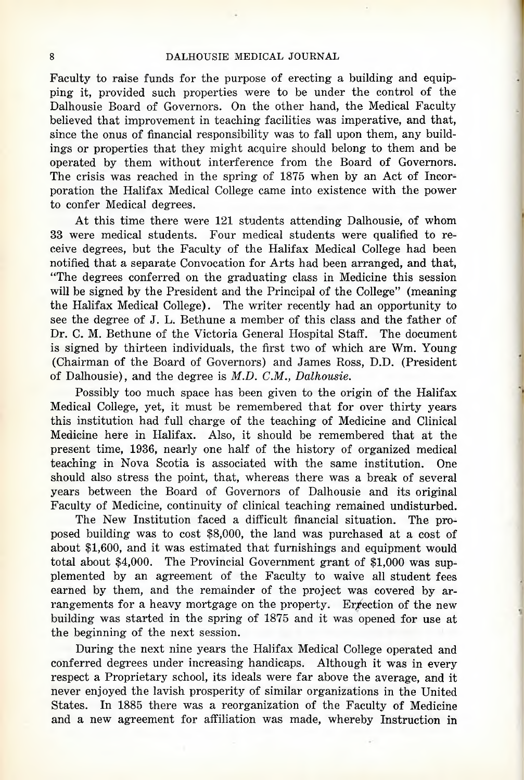## 8 DALHOUSIE MEDICAL JOURNAL

Faculty to raise funds for the purpose of erecting a building and equipping it, provided such properties were to be under the control of the Dalhousie Board of Governors. On the other hand, the Medical Faculty believed that improvement in teaching facilities was imperative, and that, since the onus of financial responsibility was to fall upon them, any buildings or properties that they might acquire should belong to them and be operated by them without interference from the Board of Governors. The crisis was reached in the spring of 1875 when by an Act of Incorporation the Halifax Medical College came into existence with the power to confer Medical degrees.

At this time there were 121 students attending Dalhousie, of whom 33 were medical students. Four medical students were qualified to receive degrees, but the Faculty of the Halifax Medical College had been notified that a separate Convocation for Arts had been arranged, and that, "The degrees conferred on the graduating class in Medicine this session will be signed by the President and the Principal of the College" (meaning the Halifax Medical College). The writer recently had an opportunity to see the degree of J. L. Bethune a member of this class and the father of Dr. C. M. Bethune of the Victoria General Hospital Staff. The document is signed by thirteen individuals, the first two of which are Wm. Young (Chairman of the Board of Governors) and James Ross, D.D. (President of Dalhousie), and the degree is *M.D. CM., Dalhousie.*

Possibly too much space has been given to the origin of the Halifax Medical College, yet, it must be remembered that for over thirty years this institution had full charge of the teaching of Medicine and Clinical Medicine here in Halifax. Also, it should be remembered that at the present time, 1936, nearly one half of the history of organized medical teaching in Nova Scotia is associated with the same institution. One should also stress the point, that, whereas there was a break of several years between the Board of Governors of Dalhousie and its original Faculty of Medicine, continuity of clinical teaching remained undisturbed.

The New Institution faced a difficult financial situation. The proposed building was to cost \$8,000, the land was purchased at a cost of about \$1,600, and it was estimated that furnishings and equipment would total about \$4,000. The Provincial Government grant of \$1,000 was supplemented by an agreement of the Faculty to waive all student fees earned by them, and the remainder of the project was covered by arrangements for a heavy mortgage on the property. Ergetion of the new building was started in the spring of 1875 and it was opened for use at the beginning of the next session.

During the next nine years the Halifax Medical College operated and conferred degrees under increasing handicaps. Although it was in every respect a Proprietary school, its ideals were far above the average, and it never enjoyed the lavish prosperity of similar organizations in the United States. In 1885 there was a reorganization of the Faculty of Medicine and a new agreement for affiliation was made, whereby Instruction in